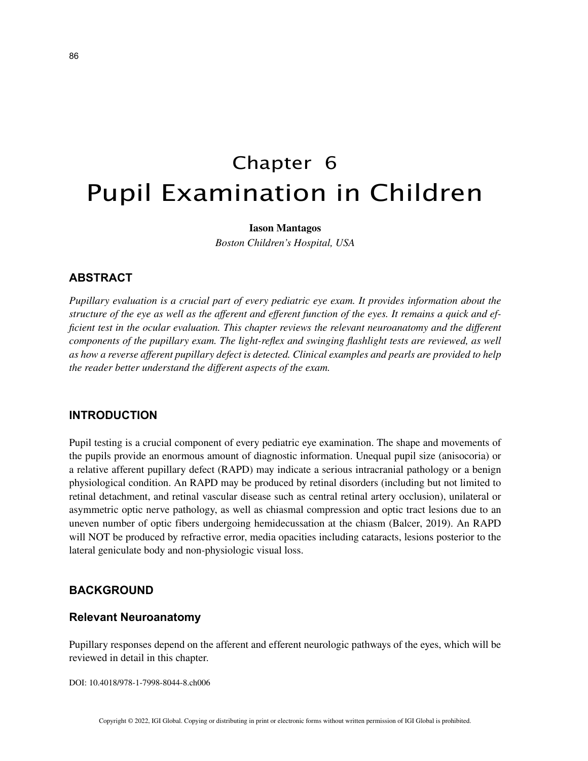# Chapter 6 Pupil Examination in Children

## **Iason Mantagos**

*Boston Children's Hospital, USA*

# **ABSTRACT**

*Pupillary evaluation is a crucial part of every pediatric eye exam. It provides information about the structure of the eye as well as the afferent and efferent function of the eyes. It remains a quick and efficient test in the ocular evaluation. This chapter reviews the relevant neuroanatomy and the different components of the pupillary exam. The light-reflex and swinging flashlight tests are reviewed, as well as how a reverse afferent pupillary defect is detected. Clinical examples and pearls are provided to help the reader better understand the different aspects of the exam.*

## **INTRODUCTION**

Pupil testing is a crucial component of every pediatric eye examination. The shape and movements of the pupils provide an enormous amount of diagnostic information. Unequal pupil size (anisocoria) or a relative afferent pupillary defect (RAPD) may indicate a serious intracranial pathology or a benign physiological condition. An RAPD may be produced by retinal disorders (including but not limited to retinal detachment, and retinal vascular disease such as central retinal artery occlusion), unilateral or asymmetric optic nerve pathology, as well as chiasmal compression and optic tract lesions due to an uneven number of optic fibers undergoing hemidecussation at the chiasm (Balcer, 2019). An RAPD will NOT be produced by refractive error, media opacities including cataracts, lesions posterior to the lateral geniculate body and non-physiologic visual loss.

# **BACKGROUND**

## **Relevant Neuroanatomy**

Pupillary responses depend on the afferent and efferent neurologic pathways of the eyes, which will be reviewed in detail in this chapter.

DOI: 10.4018/978-1-7998-8044-8.ch006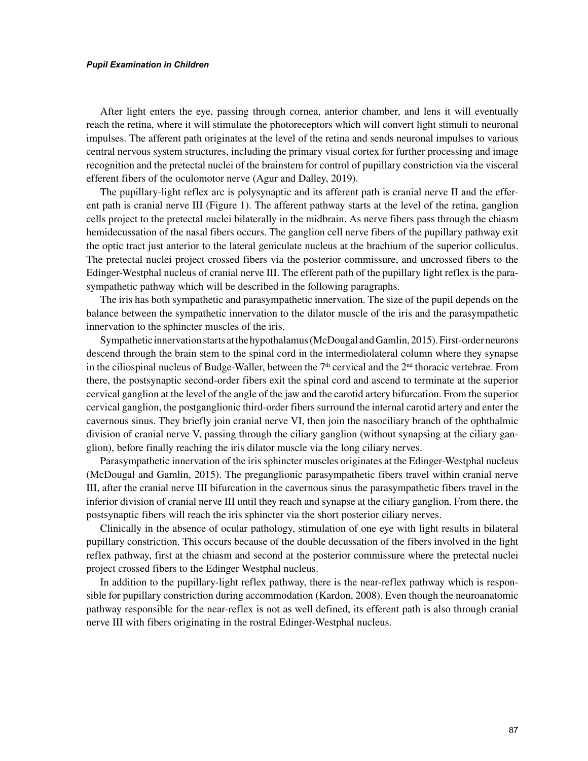#### *Pupil Examination in Children*

After light enters the eye, passing through cornea, anterior chamber, and lens it will eventually reach the retina, where it will stimulate the photoreceptors which will convert light stimuli to neuronal impulses. The afferent path originates at the level of the retina and sends neuronal impulses to various central nervous system structures, including the primary visual cortex for further processing and image recognition and the pretectal nuclei of the brainstem for control of pupillary constriction via the visceral efferent fibers of the oculomotor nerve (Agur and Dalley, 2019).

The pupillary-light reflex arc is polysynaptic and its afferent path is cranial nerve II and the efferent path is cranial nerve III (Figure 1). The afferent pathway starts at the level of the retina, ganglion cells project to the pretectal nuclei bilaterally in the midbrain. As nerve fibers pass through the chiasm hemidecussation of the nasal fibers occurs. The ganglion cell nerve fibers of the pupillary pathway exit the optic tract just anterior to the lateral geniculate nucleus at the brachium of the superior colliculus. The pretectal nuclei project crossed fibers via the posterior commissure, and uncrossed fibers to the Edinger-Westphal nucleus of cranial nerve III. The efferent path of the pupillary light reflex is the parasympathetic pathway which will be described in the following paragraphs.

The iris has both sympathetic and parasympathetic innervation. The size of the pupil depends on the balance between the sympathetic innervation to the dilator muscle of the iris and the parasympathetic innervation to the sphincter muscles of the iris.

Sympathetic innervation starts at the hypothalamus (McDougal and Gamlin, 2015). First-order neurons descend through the brain stem to the spinal cord in the intermediolateral column where they synapse in the ciliospinal nucleus of Budge-Waller, between the  $7<sup>th</sup>$  cervical and the  $2<sup>nd</sup>$  thoracic vertebrae. From there, the postsynaptic second-order fibers exit the spinal cord and ascend to terminate at the superior cervical ganglion at the level of the angle of the jaw and the carotid artery bifurcation. From the superior cervical ganglion, the postganglionic third-order fibers surround the internal carotid artery and enter the cavernous sinus. They briefly join cranial nerve VI, then join the nasociliary branch of the ophthalmic division of cranial nerve V, passing through the ciliary ganglion (without synapsing at the ciliary ganglion), before finally reaching the iris dilator muscle via the long ciliary nerves.

Parasympathetic innervation of the iris sphincter muscles originates at the Edinger-Westphal nucleus (McDougal and Gamlin, 2015). The preganglionic parasympathetic fibers travel within cranial nerve III, after the cranial nerve III bifurcation in the cavernous sinus the parasympathetic fibers travel in the inferior division of cranial nerve III until they reach and synapse at the ciliary ganglion. From there, the postsynaptic fibers will reach the iris sphincter via the short posterior ciliary nerves.

Clinically in the absence of ocular pathology, stimulation of one eye with light results in bilateral pupillary constriction. This occurs because of the double decussation of the fibers involved in the light reflex pathway, first at the chiasm and second at the posterior commissure where the pretectal nuclei project crossed fibers to the Edinger Westphal nucleus.

In addition to the pupillary-light reflex pathway, there is the near-reflex pathway which is responsible for pupillary constriction during accommodation (Kardon, 2008). Even though the neuroanatomic pathway responsible for the near-reflex is not as well defined, its efferent path is also through cranial nerve III with fibers originating in the rostral Edinger-Westphal nucleus.